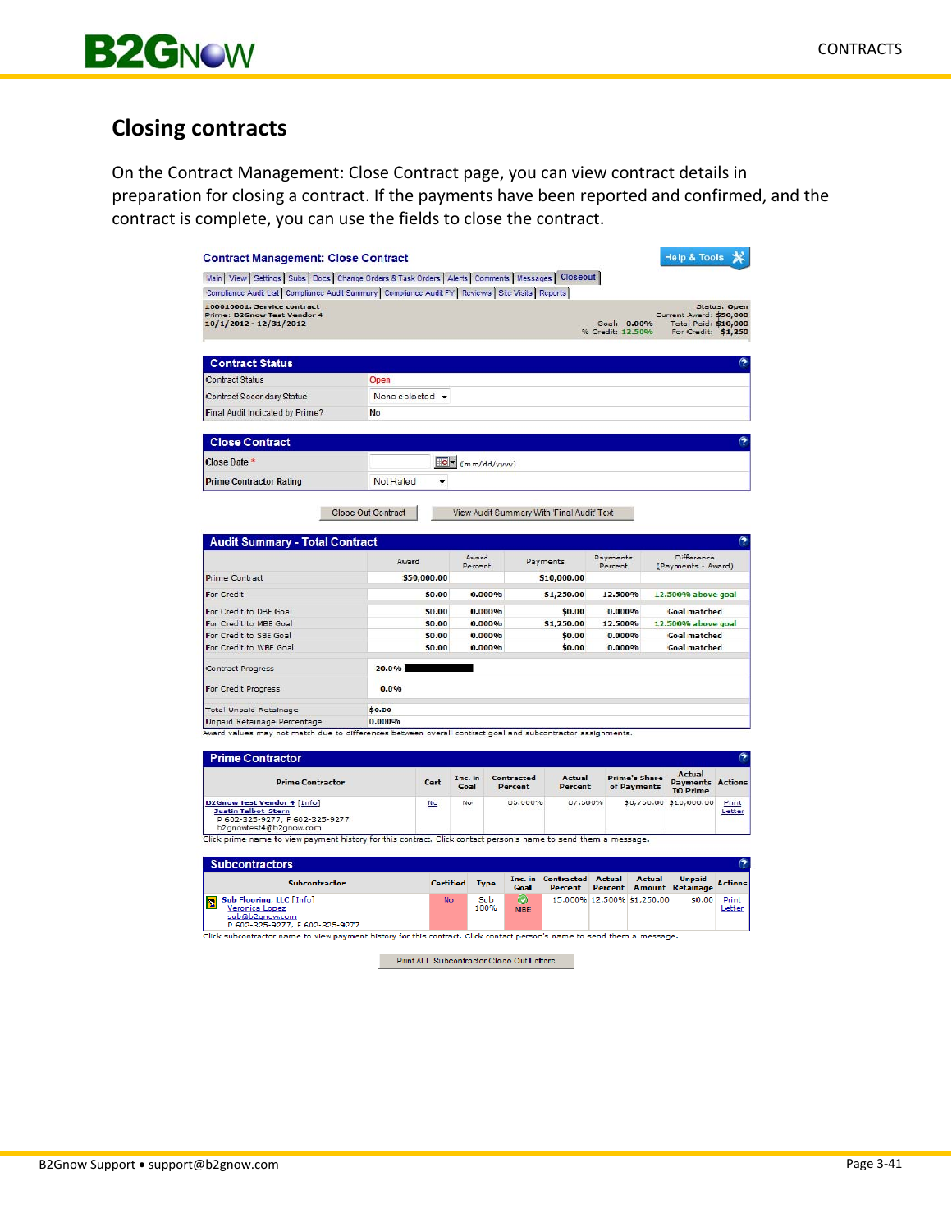

# **Closing contracts**

On the Contract Management: Close Contract page, you can view contract details in preparation for closing a contract. If the payments have been reported and confirmed, and the contract is complete, you can use the fields to close the contract.

| Contract Management: Close Contract                                                                                          |                             |             |                  |                  |                                           |                                            |                                 |                                     | <b>Help &amp; Tools</b>                                                       |                 |
|------------------------------------------------------------------------------------------------------------------------------|-----------------------------|-------------|------------------|------------------|-------------------------------------------|--------------------------------------------|---------------------------------|-------------------------------------|-------------------------------------------------------------------------------|-----------------|
| Main   View   Settings   Subs   Docs   Change Orders & Task Orders   Alerts   Comments   Messages   Closeout                 |                             |             |                  |                  |                                           |                                            |                                 |                                     |                                                                               |                 |
| Compliance Audit List   Compliance Audit Summary   Compliance Audit FY   Reviews   Site Visits   Reports                     |                             |             |                  |                  |                                           |                                            |                                 |                                     |                                                                               |                 |
| 100010001: Service contract<br>Prima: B2Cnow Test Vendor 4<br>10/1/2012 - 12/31/2012                                         |                             |             |                  |                  |                                           |                                            | Goal: 0.00%<br>% Credit: 12.50% |                                     | Current Award: \$50,000<br><b>Total Paid: \$10,000</b><br>For Credit: \$1,250 | Status: Open    |
| <b>Contract Status</b>                                                                                                       |                             |             |                  |                  |                                           |                                            |                                 |                                     |                                                                               | က               |
| <b>Contract Status</b>                                                                                                       | Open                        |             |                  |                  |                                           |                                            |                                 |                                     |                                                                               |                 |
| Contract Secondary Status                                                                                                    | None selected $\rightarrow$ |             |                  |                  |                                           |                                            |                                 |                                     |                                                                               |                 |
| Final Audit Indicated by Prime?                                                                                              | No                          |             |                  |                  |                                           |                                            |                                 |                                     |                                                                               |                 |
|                                                                                                                              |                             |             |                  |                  |                                           |                                            |                                 |                                     |                                                                               |                 |
| <b>Close Contract</b>                                                                                                        |                             |             |                  |                  |                                           |                                            |                                 |                                     |                                                                               | Ω               |
| Close Date *                                                                                                                 |                             | $Q -$       |                  | (mm/dd/yyyy)     |                                           |                                            |                                 |                                     |                                                                               |                 |
| <b>Prime Contractor Rating</b>                                                                                               | Not Rated                   | ۰           |                  |                  |                                           |                                            |                                 |                                     |                                                                               |                 |
|                                                                                                                              | Close Out Contract          |             |                  |                  |                                           | View Audit Summary With 'Final Audit' Text |                                 |                                     |                                                                               |                 |
|                                                                                                                              |                             |             |                  |                  |                                           |                                            |                                 |                                     |                                                                               |                 |
| <b>Audit Summary - Total Contract</b>                                                                                        |                             |             |                  |                  |                                           |                                            |                                 |                                     |                                                                               |                 |
|                                                                                                                              | Award                       |             |                  | Avard<br>Percent |                                           | Payments                                   |                                 | Payments<br>Percent                 | Difference<br>(Payments - Award)                                              |                 |
| <b>Prime Contract</b>                                                                                                        |                             | \$50,000.00 |                  |                  |                                           | \$10,000.00                                |                                 |                                     |                                                                               |                 |
| For Credit                                                                                                                   |                             | \$0.00      |                  | 0.000%           |                                           | \$1,250.00                                 | 12.500%                         |                                     | 12.500% above goal                                                            |                 |
| For Credit to DBE Goal                                                                                                       |                             | \$0.00      |                  | 0.000%           |                                           | \$0.00                                     | 0.000%                          |                                     | <b>Goal matched</b>                                                           |                 |
| For Credit to MBE Goal<br>For Credit to SBE Goal                                                                             |                             | \$0.00      |                  | 0.000%<br>0.000% |                                           | \$1,250.00                                 | 12.500%<br>0.000%               |                                     | 12.500% above goal                                                            |                 |
| For Credit to WBE Goal                                                                                                       |                             | \$0.00      | \$0.00<br>0.000% |                  |                                           | \$0.00<br>\$0.00                           | 0.000%                          |                                     | <b>Goal matched</b><br><b>Goal matched</b>                                    |                 |
| Contract Progress                                                                                                            | 20.0%                       |             |                  |                  |                                           |                                            |                                 |                                     |                                                                               |                 |
| For Credit Progress                                                                                                          | 0.0%                        |             |                  |                  |                                           |                                            |                                 |                                     |                                                                               |                 |
| Total Unpaid Retainage                                                                                                       | \$0.00                      |             |                  |                  |                                           |                                            |                                 |                                     |                                                                               |                 |
| Unpaid Ketainage Percentage                                                                                                  | <b>U.UUU%</b>               |             |                  |                  |                                           |                                            |                                 |                                     |                                                                               |                 |
| Award values may not match due to differences between overall contract goal and subcontractor assignments.                   |                             |             |                  |                  |                                           |                                            |                                 |                                     |                                                                               |                 |
| <b>Prime Contractor</b>                                                                                                      |                             |             |                  |                  |                                           |                                            |                                 |                                     |                                                                               | က               |
| <b>Prime Contractor</b>                                                                                                      |                             | Cert        | Inc. in<br>Goal  |                  | Contracted<br>Percent                     | Actual<br><b>Percent</b>                   |                                 | <b>Prime's Share</b><br>of Payments | Actual<br><b>Payments Actions</b><br><b>TO Prime</b>                          |                 |
| <b>B2Gnow lest Vendor 4 [Info]</b><br><u>Justin Talbot-Stern</u><br>P 602-325-9277, F 602-325-9277<br>b2gnowtest4@b2gnow.com |                             | No          | No.              |                  | 85.000%                                   | 87.500%                                    |                                 |                                     | \$8,750.00 \$10,000.00                                                        | Print<br>Letter |
| Click prime name to view payment history for this contract. Click contact person's name to send them a message.              |                             |             |                  |                  |                                           |                                            |                                 |                                     |                                                                               |                 |
| <b>Subcontractors</b>                                                                                                        |                             |             |                  |                  |                                           |                                            |                                 |                                     |                                                                               | (?              |
| Subcontractor                                                                                                                |                             |             | <b>Certified</b> | <b>Type</b>      | Inc. in<br>Goal                           | Contracted<br>Percent                      | <b>Actual</b>                   | Actual<br>Percent Amount            | Unpaid<br><b>Retainage</b>                                                    | Actions         |
| <b>Sub Flooring, LLC [Info]</b><br><b>R</b><br>Veronica Lopez<br><u>sub@b2qnow.com</u><br>P 602-325-9277, F 602-325-9277     |                             |             | No               | Sub<br>100%      | $\circ$<br><b>MBE</b>                     |                                            |                                 | 15.000% 12.500% \$1,250.00          | \$0.00                                                                        | Print<br>Letter |
| Click subcontractor name to view payment history for this contract. Click contact person's name to send them a message.      |                             |             |                  |                  |                                           |                                            |                                 |                                     |                                                                               |                 |
|                                                                                                                              |                             |             |                  |                  | Print ALL Subcontractor Close Out Letters |                                            |                                 |                                     |                                                                               |                 |
|                                                                                                                              |                             |             |                  |                  |                                           |                                            |                                 |                                     |                                                                               |                 |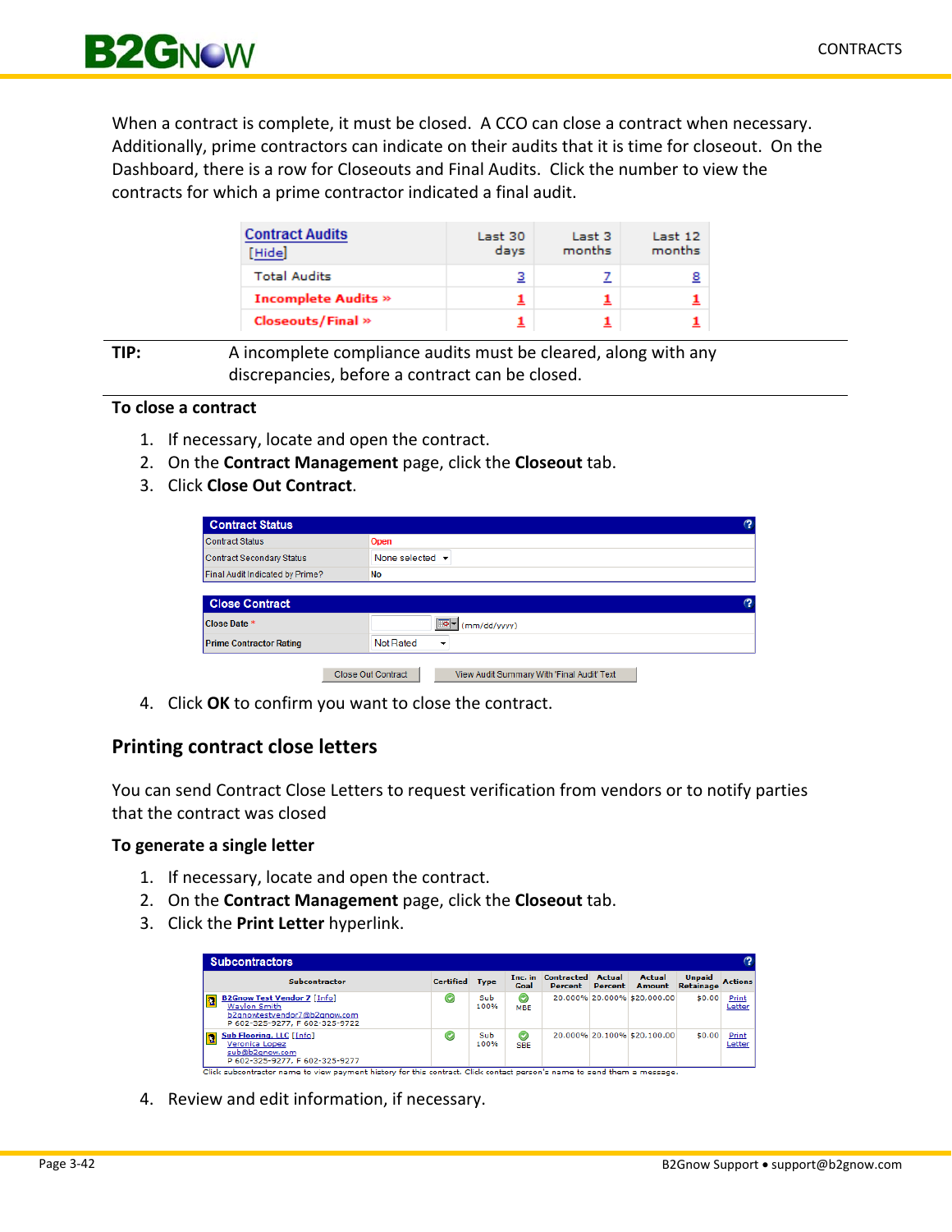

When a contract is complete, it must be closed. A CCO can close a contract when necessary. Additionally, prime contractors can indicate on their audits that it is time for closeout. On the Dashboard, there is a row for Closeouts and Final Audits. Click the number to view the contracts for which a prime contractor indicated a final audit.

| <b>Contract Audits</b><br>[Hide] | Last 30<br>days | Last 3<br>months | Last 12<br>months |
|----------------------------------|-----------------|------------------|-------------------|
| <b>Total Audits</b>              | з               |                  | <u>8</u>          |
| <b>Incomplete Audits »</b>       |                 |                  |                   |
| <b>Closeouts/Final</b> »         |                 |                  |                   |

**TIP:** A incomplete compliance audits must be cleared, along with any discrepancies, before a contract can be closed.

## **To close a contract**

- 1. If necessary, locate and open the contract.
- 2. On the **Contract Management** page, click the **Closeout** tab.
- 3. Click **Close Out Contract**.

| <b>Contract Status</b>           |                                                                  | က |
|----------------------------------|------------------------------------------------------------------|---|
| <b>Contract Status</b>           | Open                                                             |   |
| <b>Contract Secondary Status</b> | None selected $\sim$                                             |   |
| Final Audit Indicated by Prime?  | No                                                               |   |
|                                  |                                                                  |   |
| <b>Close Contract</b>            |                                                                  | ಌ |
| Close Date *                     | ℡<br>$\mathbf{F}$ (mm/dd/yyyy)                                   |   |
| <b>Prime Contractor Rating</b>   | Not Rated<br>٠                                                   |   |
|                                  |                                                                  |   |
|                                  | Close Out Contract<br>View Audit Summary With 'Final Audit' Text |   |

4. Click **OK** to confirm you want to close the contract.

## **Printing contract close letters**

You can send Contract Close Letters to request verification from vendors or to notify parties that the contract was closed

### **To generate a single letter**

- 1. If necessary, locate and open the contract.
- 2. On the **Contract Management** page, click the **Closeout** tab.
- 3. Click the **Print Letter** hyperlink.

| <b>Subcontractors</b>                                                                                                                                  |                                   |             |                              |                              |                   |                             |                                   |                 |
|--------------------------------------------------------------------------------------------------------------------------------------------------------|-----------------------------------|-------------|------------------------------|------------------------------|-------------------|-----------------------------|-----------------------------------|-----------------|
| <b>Subcontractor</b>                                                                                                                                   | <b>Certified</b>                  | <b>Type</b> | Inc. in<br>Goal              | <b>Contracted</b><br>Percent | Actual<br>Percent | Actual<br>Amount            | <b>Unpaid</b><br><b>Retainage</b> | <b>Actions</b>  |
| <b>B2Gnow Test Vendor 7 [Info]</b><br>$\overline{\mathbf{2}}$<br><b>Waylon Smith</b><br>b2anowtestvendor7@b2anow.com<br>P 602-325-9277, F 602-325-9722 | $\odot$                           | Sub<br>100% | $\circledcirc$<br><b>MBE</b> |                              |                   | 20.000% 20.000% \$20.000.00 | \$0.00                            | Print<br>Letter |
| Sub Flooring, LLC [Info]<br>$\overline{\mathbf{2}}$<br>Veronica Lopez<br>sub@b2anow.com<br>P 602-325-9277, F 602-325-9277                              | $\left( \bigtriangledown \right)$ | Sub<br>100% | $\odot$<br><b>SBE</b>        |                              |                   | 20.000% 20.100% \$20.100.00 | \$0.00                            | Print<br>Letter |

4. Review and edit information, if necessary.